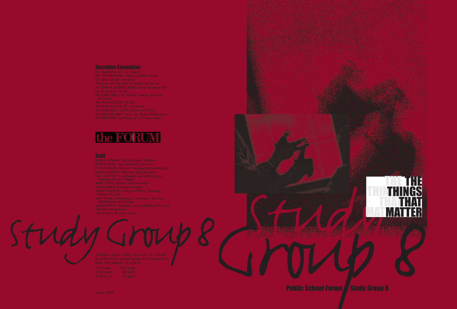- 
- 
- 
- 
- 
- 
- 
- 
- 
- 
- 

# the **FORUM**

- -

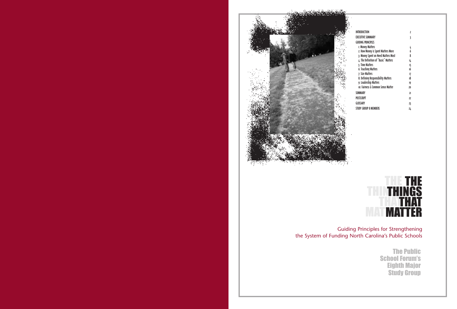### THE THI<sub>I</sub> THAT MATMAT THE **THINGS** THAT MATTER

| INTRODUCTION                         | 2              |
|--------------------------------------|----------------|
| EXECUTIVE SUMMARY                    | 3              |
| <b>GUIDING PRINCIPLES</b>            |                |
| <b>1: Money Matters</b>              | 4              |
| 2: How Money is Spent Matters More   | 6              |
| 3: Money Spent on Need Matters Most  | 8              |
| 4: The Definition of "Basic" Matters | 14             |
| 5: Time Matters                      | 15             |
| 6: Teaching Matters                  | 16             |
| 7: Size Matters                      | 17             |
| 8: Defining Responsibility Matters   | 18             |
| 9: Leadership Matters                | 19             |
| ιο: Fairness & Common Sense Matter   | 20             |
| SUMMARY                              | $\overline{2}$ |
| <b>POSTSCRIPT</b>                    | 22             |
| GLOSSARY                             | 23             |
| STUDY GROUP 8 MEMBERS                | 24             |
|                                      |                |

Guiding Principles for Strengthening the System of Funding North Carolina's Public Schools

> The Public School Forum's Eighth Major Study Group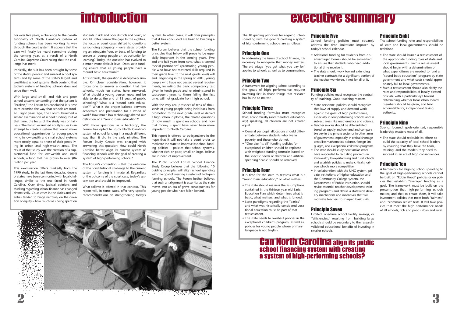For over five years, a challenge to the constitutionality of North Carolina's system of funding schools has been working its way through the court system. It appears that the case will finally be heard sometime during the coming year, as a result of a North Carolina Supreme Court ruling that the challenge has merit.

Ironically, the suit has been brought by some of the state's poorest and smallest school systems and by some of the state's largest and wealthiest school systems. Both contend that today's system of funding schools does not serve them well.

With large and small, and rich and poor school systems contending that the system is "broken," the Forum has concluded it is time to re-examine the way that schools are funded. Eight years ago, the Forum launched a similar examination of school funding; but at that time, the focus of the study was on fairness. The Forum examined equity issues in an attempt to create a system that would make educational opportunities for young people living in low-wealth and small school systems more nearly equal to those of their peers living in urban and high-wealth areas. The result of that study was the creation of a supplemental fund for low-wealth and small schools, a fund that has grown to over \$86 million per year.

This examination differs markedly from the 1990 study. In the last three decades, dozens of states have been confronted with legal challenges similar to the one faced in North Carolina. Over time, judicial opinions and thinking regarding school finance has changed dramatically. Court cases in the sixties and seventies tended to hinge narrowly on the question of equity – how much was being spent on

students in rich and poor districts and could, or should, states narrow the gap? In the eighties, the focus of court cases shifted to questions surrounding adequacy – were states providing an adequate floor, or base, of funding to ensure all young people an opportunity for learning? Today, the question has evolved to a much more difficult level. Does state funding ensure that all young people have a "sound basic education?"

At first blush, the question is deceptively simple. On closer consideration, however, it forces one to answer a question that few schools, much less states, have answered. What should a young person know and be able to do at the end of 13 years of public schooling? What is a "sound basic education?" What is the proper balance between academics and preparation for a world of work? How much has technology altered our definition of a "sound basic education?"

With those questions as a backdrop, the Forum has opted to study North Carolina's system of school funding in a much different way than it did in the early nineties. The Forum Study Group was charged with answering this question: How could North Carolina better align its current system of financing schools with the goal of creating a system of high-performing schools?

The Forum's contention is that the outcome of the constitutional challenge to the current system of funding is immaterial. Regardless of the outcome of the court case, today's system can and should be improved.

What follows is offered in that context. This report will, in some cases, offer very specific recommendations on strengthening today's system. In other cases, it will offer principles that it has concluded are basic to building a better system.

The Forum believes that the school funding

principles that follow will prove to be especially important in the coming years. Two and one half years from now, what is termed "social promotion" (promoting young people who have not mastered skills required in their grade level to the next grade level) will end. Beginning in the spring of 2001, young people who have not passed several requirements, including the basic competency test given in tenth grade and re-administered in subsequent years to those failing the first time, will not graduate from high school.

With the very real prospect of tens of thousands of young people being held back from promotion to the next grade level or denied a high school diploma, the related questions of how much is spent on schools and how that money is spent have never been more important to North Carolina.

This report is offered to policymakers in the hope that it will not take a court order to motivate the state to improve its school funding policies – policies that school systems, whether rich or poor, small or large, believe are in need of improvement.

The Public School Forum School Finance

Study Group believes that the following 10 guiding principles will align school spending with the goal of creating a system of high-performing schools. The Forum further believes that such an alignment is essential as the state moves into an era of grave consequences for young people who have fallen behind.



# introduction

The 10 guiding principles for aligning school spending with the goal of creating a system of high-performing schools are as follows.

### Principle One

In addressing the issues of school finance, it is necessary to recognize that money matters. The old adage "you get what you pay for" applies to schools as well as to consumerism.

### Principle Two

A framework for aligning school spending to the goals of high performance requires investing first in those things that research has found to matter.

### Principle Three

School funding formulas must recognize that, economically (and therefore educationally) speaking, all children are not created equal.

- General per pupil allocations should differentiate between students who live in poverty and those who do not.
- "One-size-fits-all" funding policies for exceptional children should be replaced with weighted funding formulas based on the specific needs of children and artificial spending "caps" should be removed.

### Principle Four

It is time for the state to reassess what is a "sound basic education," or what matters.

- The state should reassess the assumptions contained in the thirteen-year-old Basic Education Plan which determines what is basic, what matters, and what is funded.
- State paradigms regarding the "basics" and what was historically considered vocational education must be part of that reassessment.
- The state needs to overhaul policies in the exceptional children's program, as well as policies for young people whose primary language is not English.

### Principle Five

School funding policies must squarely address the time limitations imposed by today's school calendar.

- Additional funding for students from disadvantaged homes should be earmarked to ensure that students who need additional time receive it.
- The state should work toward extending teacher contracts for a significant portion of the teacher workforce, if not for all of it.

### Principle Six

Funding policies must recognize the centrality of teaching. Good teaching matters.

• State personnel policies should recognize that laws of supply and demand work against the goals of high performance, especially in low-performing schools and in subject areas like mathematics and science. • Teacher salaries should be differentiated based on supply and demand and comparable pay in the private sector or in other areas of government, especially in critical shortage areas like mathematics, science, foreign languages, and exceptional children's programs. • The state should study how similar states have responded to recruiting problems in low-wealth, low-performing and rural schools and establish policies to make critical short-

- 
- 
- age schools more competitive.
- 

• In collaboration with the UNC system, private institutions of higher education and the Community College system, the Department of Public Instruction should revise essential teacher development training programs and devise a statewide delivery mechanism and incentives that will motivate teachers to sharpen basic skills.

### Principle Seven

Limited, one-time school facility savings, or "efficiencies," resulting from building large schools should be secondary to the researchvalidated educational benefits of investing in

smaller schools.



### Can North Carolina align its public school financing system with creating a system of high-performing schools?

### Principle Eight

The school funding roles and responsibilities of state and local governments should be redefined.

- The state should launch a reassessment of the appropriate funding roles of state and local governments. Such a reassessment should begin with a determination of what expenditures are needed to fund a "sound basic education" program by state government and what costs should appropriately fall to local governments.
- Such a reassessment should also clarify the roles and responsibilities of locally-elected officials, with a particular eye toward determining whether local school board members should be given, and held accountable for, independent taxing authority.

### Principle Nine

Strong, focused, goals-oriented, responsible leadership matters most of all.

• The state should redouble its efforts to build the capacity of local school leaders by ensuring that they have the tools, training, and the models they need to succeed in an era of high consequences.

### Principle Ten

A framework for aligning school spending to the goal of high-performing schools cannot be built on "Robin Hood" policies or on policies that establish "average" funding as a goal. The framework must be built on the presumption that high-performing schools matter, and that to create them, it will take investment policies that meet both "fairness" and "common sense" tests. It will take policies that meet the high performance needs of all schools, rich and poor, urban and rural.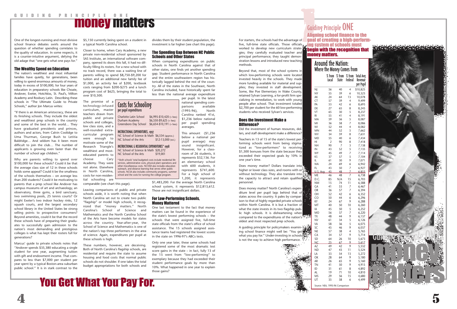One of the longest-running and most divisive school finance debates swirls around the question of whether spending correlates to the quality of education. In some respects, it is a counter-intuitive argument, defying the old adage that "one gets what one pays for."

The nation's wealthiest and most influential families have quietly, for generations, been willing to spend enormous amounts of money, today in excess of \$100,000, for four years of education in preparatory schools like Choate, Andover, Exeter, Hotchkiss, St. Paul's, Milton Academy and Roxbury Latin. Describing these schools in "The Ultimate Guide to Private Schools," author Jon Marcus writes:

### The Wealthy Spend on Education

"If there is an American aristocracy, these are its finishing schools. They include the oldest and wealthiest prep schools in the country and some of the best in the world… They have graduated presidents and princes, authors and actors, from Calvin Coolidge to Uma Thurman, George Bush to Letitia Baldridge… And seldom has it been more difficult to join the club… The number of applicants is growing even faster than the number of school age children."

Why are parents willing to spend over \$100,000 for these schools? Could it be that the average class size of 12 in these schools holds some appeal? Could it be the smallness of the schools themselves – on average less than 200 students? Could it be motivating to parents that a prep school like Andover has campus museums of art and archaeology, an observatory, three gyms, a bird sanctuary, two swimming pools, 25 tennis courts? Or might Exeter's two indoor hockey rinks, 12 squash courts, and the largest secondary school library in the United States be strong selling points to prospective consumers? Beyond amenities, could it be that the record these schools have of preparing their graduates to successfully gain admission to the nation's most demanding and prestigious colleges is what has kept their rosters full for generations?

Marcus' guide to private schools notes that "Andover spends \$35,380 educating a single student for one year, augmenting tuition with gift and endowment income. That compares to less than \$7,000 per student per year spent by a typical Boston-area suburban public school." It is in stark contrast to the

\$5,150 currently being spent on a student in a typical North Carolina school.

Closer to home, when Cary Academy, a new private non-residential school sponsored by SAS Institute, an international software company, opened its doors this fall, it had no difficulty filling its rosters. For a new school with no track record, there was a waiting line of parents willing to spend \$8,750-\$9,200 for tuition and an additional new family fee of \$1,000, an activity fee of \$200, textbook costs ranging from \$200-\$275 and a lunch program cost of \$625, bringing the total to over \$10,500.

The promise of a technology-infused curriculum, master teachers drawn from public and private schools and colleges, low class sizes, and a well-rounded extracurricular program were enough to motivate some of the Research Triangle's wealthiest and mosteducated parents to

NC School of Science & Math \$6,534 (approx.) NC School of the Arts \$12-13,000 (est.) INSTRUCTIONAL & RESIDENTIAL EXPENDITURES\* 1998 NC School of Science & Math \$20,272 NC School of the Arts \$19,001

choose Cary Academy. They were not alone. Elsewhere in North Carolina, costs for non-residential schooling are

comparable (see chart this page).

Leaving comparisons of public and private schools aside, it is worth noting that when North Carolina set out to create two public "flagship" or model high schools, it recognized that "money matters." North Carolina's School of Science and Mathematics and the North Carolina School of the Arts have become models for states across the country. Year-after-year, the School of Science and Mathematics is one of the nation's top three performers in the area of science. Again, expenditures per pupil at these schools is high.

These numbers, however, are deceiving. Both of North Carolina's flagship schools, are residential and require the state to assume housing and food costs that normal public schools do not shoulder. If one takes the total budget appropriations for both schools and

### For starters, the schools had the advantage of **Cuiding Principle ONE**<br>For starters, the schools had the advantage of **Aligning school finance to the**<br>five, full-time state officials. Those officials **and the recognition t** Guiding Principle ONE Aligning school finance to the goal of creating a high-performing system of schools must money matters.

divides them by their student population, the investment is far higher (see chart this page).

### The Spending Gap Between NC Public Schools and Other States

When comparing expenditures on public schools in North Carolina against that of other states, one finds yet another spending gap. Student performance in North Carolina and the entire southeastern region has historically lagged behind the rest of the country. All of the states in the Southeast, North Carolina included, have historically spent far less than the national average expenditure

> Does money matter? Dollars translate into higher or lower class sizes, and rooms with or without technology. They also translate into the capacity to attract and retain qualified personnel.

per pupil. In the latest national spending comparisons available (1995-96), North Carolina ranked 41st, \$1,236 below national per pupil spending averages.

This amount (\$1,236 below a national per pupil average) may sound insignificant. However, for a classroom of 26 students, it represents \$32,136. For an elementary school with 600 students, it represents \$741,600. For a high school of 1,200, it represents

\$1,483,200. For the average North Carolina school system, it represents \$12,813,612. Those are not insignificant dollars.

### For Low-Performing Schools, Money Mattered

One last testament to the fact that money matters can be found in the experience of the state's lowest performing schools – the schools that were assigned five, full-time state officials from the state's office of school assistance. The 15 schools assigned assistance teams had registered the lowest scores in the state on 1996-97's ABCs tests.

Only one year later, these same schools had registered some of the most dramatic test score gains in the state – in fact, fully 13 of the 15 went from "low-performing" to exemplary because they had exceeded their student performance goals by more than 10%. What happened in one year to explain those gains?

# money matters



5

Costs for Schooling per pupil expenditures

Charlotte Latin School \$6,995-\$10,420 (+ fees) Durham Academy \$6,550-\$9,625 (+ fees) Greensboro Day School \$6,654-\$10,191 (+ fees)

INSTRUCTIONAL EXPENDITURES, 1997

\* Both schools' total budgeted costs include residential life services, administrative costs, physical plant operations and other miscellaneous costs. NCSSM also includes education outreach, and distance learning that serves other public schools. NCSA also includes community programs, summer school and the costs for running the college program.



### Around the Nation: Where the Money Comes from

|             | % from<br>Local | % from<br><b>State</b> | % from<br><b>Federal</b> | Total Avg.<br>Revenue<br>per Pupil |
|-------------|-----------------|------------------------|--------------------------|------------------------------------|
| NJ          | 56              | 40                     | 4                        | \$10,825                           |
| NY          | 55              | 39                     | 6                        | 10,323                             |
| AΚ          | 24              | 64                     | 13                       | 10,078                             |
| СT          | 57              | 39                     | 4                        | 9,499                              |
| PA          | 53              | 42                     | 6                        | 8,693                              |
| DE          | 27              | 65                     | 8                        | 8,245                              |
| VT          | 65              | 30                     | 5                        | 8,237                              |
| RI          | 55              | 41                     | 4                        | 8,191                              |
| MA          | 59              | 36                     | 5                        | 8,087                              |
| MI          | 36              | 58                     | 7                        | 8,086                              |
| WI          | 52              | 44                     | 4                        | 8,082                              |
| MN          | 44              | 52                     | 5                        | 7,662                              |
| WV          | 34              | 59                     | 8                        | 7,631                              |
| MD          | 55              | 40                     | 6                        | 7,434                              |
| HI          | $\overline{c}$  | 90                     | 8                        | 7,418                              |
| NΗ          | 90              | 7                      | 3                        | 7,138                              |
| IN          | 43              | 52                     | 5                        | 7,135                              |
| WY          | 45              | 49                     | 7                        | 7,114                              |
| ΚS          | 37              | 57                     | 5                        | 7,104                              |
| IL          | 61              | 30                     | 9                        | 7,071                              |
| WA          | 24              | 69                     | 6                        | 6,942                              |
| FL          | 43              | 50                     | 7                        | 6,927                              |
| U.S.<br>Avq | 45              | 48                     | Z                        | 6,853                              |
| ME          | 46              | 48                     | 7                        | 6,738                              |
| D.C.        | 85              | N/A                    | 15                       | 6,703                              |
| ΝM          | 15              | 74                     | 11                       | 6,588                              |
| GА          | 41              | 53                     | 7                        | 6,467                              |
| OR          | 36              | 57                     | 7                        | 6,394                              |
| ΟH          | 52              | 42                     | 6                        | 6,352                              |
| CO          | 50              | 44                     | 6                        | 6,296                              |
| ΚY          | 24              | 67                     | 9                        | 6,288                              |
| MT          | 40              | 50                     | 10                       | 6,260                              |
| ΙA          | 45              | 50                     | 5                        | 6,252                              |
| МO          | 56              | 37                     | 7                        | 6,220                              |
| TΧ          | 48              | 44                     | 9                        | 6,137                              |
| NV          | 61              | 34                     | 5                        | 6,126                              |
| VA          | 58              | 36                     | 5                        | 6,075                              |
| SC          | 45              | 46                     | 9                        | 6,037                              |
| NE          | 57              | 38                     | 4                        | 5,765                              |
| СA          | 34              | 57                     | 9                        | 5,714                              |
| SD          | 64              | 26                     | 10                       | 5,673                              |
| <u>NС</u>   | <u> 25</u>      | 67                     | 9                        | 5,617                              |
| AΖ          | 49              | 42                     | 9                        | 5,532                              |
| ND          | 47              | 43                     | 11                       | 5,524                              |
| LA          | 33              | 54                     | 13                       | 5,272                              |
| ΟK          | 28              | 64                     | 9                        | 5,180                              |
| AR          | 26              | 65                     | 9                        | 5,160                              |
| ΤN          | 41              | 50                     | 9                        | 4,915                              |
| ID          | 31              | 61                     | 8                        | 4,892                              |
| AL          | 19              | 71                     | 10                       | 4,810                              |
| MS          | 29              | 56                     | 15                       | 4,680                              |
| UT          | 35              | 58                     | 6                        | 4,499                              |
|             |                 |                        |                          |                                    |

Source: NEA, 1995-96 Comparison

U.S. Avg $\frac{45}{3}$ 

For starters, the schools had the advantage of five, full-time state officials. Those officials gies; they carefully evaluated teacher and principal performance; they taught demonstration lessons and introduced new teaching methods.

Beyond that, most of the school systems in which low-performing schools were located invested heavily in the schools. They made more funding available for material and supplies; they invested in staff development. Some, like Poe Elementary in Wake County, retained Sylvan Learning, a for-profit firm specializing in remediation, to work with young people after school. That investment totaled \$2,700 per student for the 60 low-performing students who received Sylvan's services.

### Does the Investment Make a Difference?

Did the investment of human resources, dollars, and staff development make a difference?

Teachers in 13 of 15 of the state's lowest performing schools went from being stigmatized as "low-performers" to receiving \$1,500 bonuses from the state because they exceeded their expected goals by 10% in one year's time.

Does money matter? North Carolina's expenditure level per pupil lags behind that of  $\mathbb{R}$ . states across the country. It pales by compar- $\mathbb{Z}$ . ison to that of highly regarded private schools within North Carolina. It is but a fraction of what the state invests in its two flagship public high schools. It is disheartening when compared to the expenditures of the nation's oldest and most respected prep schools.

A guiding principle for policymakers examining school finance might well be: "You get what you pay for." Under-investing in schools is not the way to achieve high performance.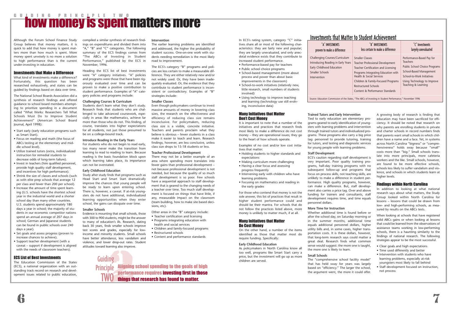# **CULDING PRINCIPLE TWO MATTERS MOTE**

Challenging Courses/ Introducing Reading Early Childhood Educ Smaller Schools Intervention

### Investments that Matter to Student Achievement

| NTS                                   | "B" INVESTMENTS                                                                                                                                                                                                                                                                     | "C" Investments                                                                                                                                                                                     |
|---------------------------------------|-------------------------------------------------------------------------------------------------------------------------------------------------------------------------------------------------------------------------------------------------------------------------------------|-----------------------------------------------------------------------------------------------------------------------------------------------------------------------------------------------------|
| lifference                            | less certain to make a difference                                                                                                                                                                                                                                                   | largely unevaluated                                                                                                                                                                                 |
| Curriculum<br>in Early Years<br>ation | <b>Smaller Classes</b><br><b>Teacher Professional Development</b><br>Teacher Certification and Licensing<br>Programs Integrating Education with<br>Health & Social Services<br>Children & Family-Focused Programs<br><b>Restructured Schools</b><br>Content & Performance Standards | Performance-Based Pay for<br><b>Teachers</b><br><b>Public School Choice Programs</b><br>School-Based Management<br>School-to-Work Initiatives<br>Using Technology to Improve<br>Teaching & Learning |

Source: Education Commission of the States, "The ABCs of Investing in Student Performance," November 1996

- Start early (early education programs such as Smart Start).
- Focus on reading and math (the focus of ABCs testing at the elementary and middle school level).
- Utilize trained tutors (extra, individualized instruction for remedial students to decrease odds of long-term failure).
- Invest in teachers (hire qualified personnel, provide high quality staff development, and incentives for high performance).
- Shrink the size of classes and schools (such as with elite prep schools that average 12 per class and fewer than 200 per school).
- Increase the amount of time spent learning (U.S. schools have the shortest school year in the industrial world and a shorter school day than many other countries. U.S. students spend approximately 180 days a year in school; the majority of students in our economic competitor nations spend an annual average of 207 days in school; German and Japanese students can be found in public schools over 240 days a year).
- Set goals and assess progress (proven to increase chances to achieve).
- Support teacher development (with a caveat – support if development is aligned with the needs of classroom teachers).

Although the Forum School Finance Study Group believes that money matters, it is quick to add that how money is spent matters more than how much is spent. More money spent unwisely is no more a solution to high performance than is the current under-investing in education.

### Investments that Make a Difference

What kind of investments make a difference? Fortunately, this question has been researched exhaustively, and states can be guided by findings based on data over time.

The National School Boards Association did a synthesis of research findings and offered guidance to school board members attempting to prioritize spending in a document called "What Works: Researchers Tell What Schools Must Do to Improve Student Achievement" (American School Board Journal, April 1998):

### ECS List of Best Investments

The Education Commission of the States (ECS), a national organization with an outstanding track record on research and development issues related to public education,

compiled a similar synthesis of research findings on expenditures and divided them into "A," "B" and "C" categories. The following summary of the ECS findings comes from "The ABCs of Investing in Student Performance," published by the ECS in November, 1996.

Heading the ECS list of best investments were "A" category initiatives. "A" policies and programs were those that have been rigorously evaluated over time and can be proven to make a positive contribution to student performance. Examples of "A" category policies and programs include:

### **Challenging Courses & Curriculum**

Students don't learn what they don't study. Research finds that students who are challenged to take advanced coursework, especially in areas like mathematics, achieve far more than those who do not. This finding, of course, translates into higher expectations for all students, not just those presumed to be on a college-bound track.

### **Introduce Reading in the Early Years**

For students who do not begin to read early, too many never make the transition from learning to read to reading to learn. Because reading is the basic foundation block upon which learning takes place, its importance can not be overstated.

### **Early Childhood Education**

Study after study finds that programs such as Head Start and Smart Start dramatically improve the chances that young people will be ready to learn upon entering school. There is, however, a caveat. If at-risk youngsters do not have additional, individualized learning opportunities when they enter school, the gains can dissipate over time.

### **Smaller Schools**

Evidence is mounting that small schools, those with 300 to 900 students, might be the answer to many of education's ills. Research, dating back 30 years, finds smaller schools improve test scores and grades, especially for lowincome and minority students. Small schools have better attendance, less vandalism and violence, and lower drop-out rates. Student attitudes toward learning also improve.

**Guiding** 

### **Intervention**

The earlier learning problems are identified and addressed, the higher the probability of student success. One-on-one work with students needing remediation is the most likely road to improvement.

> A growing body of research is finding that education may have been sacrificed for efficiency. It should be noted that research on why parents are enrolling students in private and charter schools in record numbers finds that parents want small schools in which children have a name and a face. Yet, in systems across North Carolina "bigness" or "comprehensiveness" holds sway because "small" costs more than "big." Small schools translate into more principals, more cafeteria workers and the like. Small schools, however, are found to be more effective schools, schools less likely to suffer vandalism and violence, and schools in which students learn at higher levels.

The ECS's category "B" programs and policies are less certain to make a measurable difference. They are either relatively new and/or not widely used. Or, they have been inadequately evaluated. Or, the evidence that they contribute to student performance is inconsistent or contradictory. Examples of "B" strategies include:

### **Smaller Classes**

Even though policymakers continue to invest massive amounts of money in lowering class sizes, the research on the effectiveness and efficiency of reducing class size remains inconclusive. For policymakers, reducing class size is a visible, concrete initiative. Teachers and parents proclaim what they believe is obvious – fewer students in a class make it easier to teach and learn. Research findings, however, are less conclusive, unless class size drops to 15-18 students or less.

### **Teacher Professional Development**

There may not be a better example of an area where spending more translates into fewer gains than professional development – not because professional development is not needed, but because the quality of so much staff development is so poor. Few schools have a sequential approach to staff development that is geared to the changing needs of a teacher over time. Too much staff development is focused on things that have little, if any, measurable impact on the classroom (team building, how to make site based decisions, etc).

Other areas in the "B" category include:

- Teacher certification and licensing • Programs integrating education with health and social services
- Children and family-focused programs • Restructured schools
- Content and performance standards

aming also improve<br> **ng**<br> **2 De Aligning**<br> **2 Contract Control**<br> **10 things th** Principle Aligning school spending to the goals of high performance requires investing first in those things that research has found to matter. **TWO** 

In ECS's rating system, category "C" initiatives share all or most of the following characteristics: they are fairly new and popular; they are largely unevaluated, and only anecdotal evidence exists that they contribute to increased student performance.

- Performance-based pay for teachers
- Public school choice programs
- School-based management (more about process and power than about basic improvements in the classroom)
- School-to-work initiatives (relatively new, little research, small numbers of students involved)
- Using technology to improve teaching and learning (technology use still evolving, inconclusive data)

### Many Initiatives that Matter Don't Cost Money

It is important to note that a number of the initiatives and practices that research finds most likely to make a difference do not cost money – they are operational issues; they go to the heart of how schools operate.

Examples of no cost and/or low cost initiatives that matter:

- Holding students to higher standards and expectations
- Making curriculum more challenging
- Having a clear focus and assessing progress frequently
- Intervening early with children who have learning problems
- Focusing on mathematics and reading in the early grades

For those who contend that money is not the sole answer, this list of practices that result in higher student performance could and should be their mantra. For schools that do not follow the practices listed above, more money is unlikely to matter much, if at all.

### Many Initiatives that Matter Do Cost Money

On the other hand, a number of the items identified as those that matter most do require funding. Specifically:

### **Early Childhood Education**

As policymakers in North Carolina know all too well, programs like Smart Start carry a price, but the investment will go up as more children are served.

"A" INVESTME proven to make a d

**Trained Tutors and Early Intervention** Tied to early education are elementary programs geared to early identification of youngsters with learning problems and intervention through trained tutors and individualized programs. These programs also carry a big price tag: personnel to provide tutoring, training for tutors, and testing and diagnostic services for young people with learning problems.

### **Staff Development**

ECS's caution regarding staff development is very important. Poor quality training programs, half-day training programs with no subsequent follow-up and programs that focus on process skills, not teaching skills, are unlikely to make a difference in student performance. High quality programs, however, can make a difference. But, staff development also carries a price tag. Over and above funding for trainers and consultants, staff development requires time, and time equals personnel dollars.

### **More Time for Instruction**

Whether additional time is found before or after the school day, on Saturday morning or in the summer months, additional time equals additional personnel dollars, higher utility bills and, in some cases, higher transportation costs. It is these dollars, however, that long-term research says could matter a great deal. Research finds what common sense would suggest: the more one is taught, the more one is likely to learn.

### **Small Schools**

The "comprehensive school facility model" that has held sway for years was largely based on "efficiency." The larger the school, the argument went, the more it could offer.

### Findings within North Carolina

In addition to looking at what national research says about what matters, the Study Group looked within North Carolina for lessons – lessons that could be drawn from low- and high-performing schools, as measured by results on the ABCs tests.

When looking at schools that have registered solid ABCs gains or when looking at lessons that could be learned from the observations of assistance teams working in low-performing schools, there is a haunting similarity to the findings of national research. The following strategies appear to be the most successful.

- Clear goals and high expectations
- Time used differently and better
- Intervention with students who have learning problems, especially at-risk youngsters most likely to fall behind
- Staff development focused on instruction, not process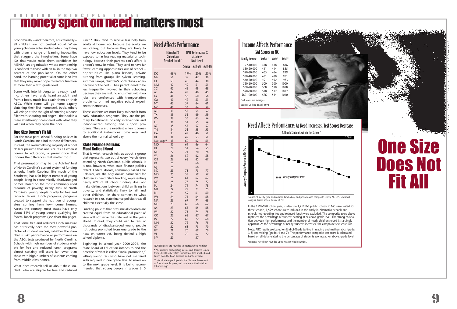# **E UT DIN GEPRENCIPLE THREE ENORGISM**

Economically – and therefore, educationally – all children are not created equal. When young children enter kindergarten they bring with them a range of learning inequalities that staggers the imagination. Some have IQs that would make them candidates for MENSA, an organization whose membership is confined to those with an IQ in the top two percent of the population. On the other hand, the learning potential of some is so low that they may never hope to read or function at more than a fifth grade level.

Some walk into kindergarten already reading; others have rarely heard an adult read from a book, much less coach them on their ABCs. While some will go home eagerly clutching their first homework book, others will cringe at the thought of entering a house filled with shouting and anger – the book is a mere afterthought compared with what they will find when they open the door.

### One Size Doesn't Fit All

For the most part, school funding policies in North Carolina are blind to those differences. Instead, the overwhelming majority of school dollars presume that one size fits all when it comes to education, a presumption that ignores the differences that matter most.

That presumption may be the Achilles' heel of North Carolina's current system of funding schools. North Carolina, like much of the Southeast, has a far higher number of young people living in economically disadvantaged homes. Based on the most commonly used measure of poverty, nearly 40% of North Carolina's young people qualify for free and reduced federal lunch programs, programs created to support the nutrition of youngsters coming from low-income homes. Across the country, most states have only about 31% of young people qualifying for federal lunch programs (see chart this page).

That is what research tells us about a group that represents two out of every five children attending North Carolina's public schools. It is not, however, what state finance policies reflect. Federal dollars, commonly called Title I dollars, are the only dollars earmarked for children in need. State funding, representing nearly 70% of all school funding, does not make distinctions between children living in poverty, and statistically likely to fail, and other children. In sharp contrast to what research tells us, state finance policies treat all children essentially the same.

That same free and reduced lunch measure has historically been the most powerful predictor of student success, whether the standard is SAT performance or performance on the ABCs tests produced by North Carolina. Schools with high numbers of students eligible for free and reduced lunch programs almost certainly will score far lower than those with high numbers of students coming from middle-class homes.

What does research tell us about these students who are eligible for free and reduced lunch? They tend to receive less help from adults at home, not because the adults are less caring, but because they are likely to have low education levels. They tend to be exposed to far less reading material or technology because their parents can't afford it or don't know its value. They tend to have far fewer learning opportunities out of school – opportunities like piano lessons, private tutoring from groups like Sylvan Learning, summer camps, children's book clubs – again because of the costs. Their parents tend to be less frequently involved in their schooling because they are making ends meet with two jobs, are confronted with transportation problems, or had negative school experiences themselves.

> \*\* Not all states participate in the National Assessment of Educational Progress, and thus are not included in list or average.

These students are most likely to benefit from early education programs. They are the primary beneficiaries of early intervention and individualized tutoring and support programs. They are the neediest when it comes to additional instructional time over and above the normal school day.

### State Finance Policies Must Reflect Need

Funding policies that presume all children are created equal from an educational point of view will not serve the state well in the years ahead. Instead, they could lead to tens of thousands of disadvantaged young people not being promoted from one grade to the next or, worse yet, being denied a high school diploma.

Beginning in school year 2000-2001, the State Board of Education intends to end the practice of what is called "social promotion," letting youngsters who have not mastered skills required in one grade level to move on to the next grade level. It is being recommended that young people in grades 3, 5

| Need Affects Performance |                                                              |                |                                                 |          |  |  |  |
|--------------------------|--------------------------------------------------------------|----------------|-------------------------------------------------|----------|--|--|--|
|                          | <b>Estimated %</b><br><b>Students on</b><br>Free/Red. Lunch* |                | <b>NAEP Performance %</b><br><b>Basic Level</b> |          |  |  |  |
|                          |                                                              | <b>Science</b> | Math-4th                                        | Math-8th |  |  |  |
| DC                       | 68%                                                          | 19%            | 20%                                             | 20%      |  |  |  |
| MS                       | 56                                                           | 39             | 42                                              | 36       |  |  |  |
| LA                       | 53                                                           | 40             | 44                                              | 38       |  |  |  |
| <b>NM</b>                | 42                                                           | 49             | 51                                              | 51       |  |  |  |
| SC                       | 42                                                           | 45             | 48                                              | 48       |  |  |  |
| AL                       | 42                                                           | 47             | 48                                              | 45       |  |  |  |
| ΚY                       | 41                                                           | 58             | 60                                              | 56       |  |  |  |
| GA                       | 40                                                           | 49             | 53                                              | 51       |  |  |  |
| NY                       | 40                                                           | 57             | 64                                              | 61       |  |  |  |
| <u>NC</u>                | 40                                                           | 56             | 64                                              | 56       |  |  |  |
| AR                       | 39                                                           | 55             | 54                                              | 52       |  |  |  |
| <b>TX</b>                | 39                                                           | 55             | 69                                              | 59       |  |  |  |
| WV                       | 38                                                           | 56             | 63                                              | 54       |  |  |  |
| FL                       | 36                                                           | 51             | 55                                              | 54       |  |  |  |
| AZ                       | 35                                                           | 55             | 57                                              | 57       |  |  |  |
| TN                       | 34                                                           | 53             | 58                                              | 53       |  |  |  |
| CA                       | 33                                                           | 47             | 46                                              | 51       |  |  |  |
| HI                       | 31                                                           | 42             | 53                                              | 51       |  |  |  |
| Natl Avg**               | 31                                                           | 60             | 62                                              | 61       |  |  |  |
| МO                       | 30                                                           | 64             | 66                                              | 64       |  |  |  |
| DE                       | 28                                                           | 51             | 54                                              | 55       |  |  |  |
| <b>NE</b>                | 27                                                           | 71             | 70                                              | 76       |  |  |  |
| VA                       | 26                                                           | 59             | 62                                              | 58       |  |  |  |
| OR                       | 26                                                           | 68             | 65                                              | 67       |  |  |  |
| PA                       | 25                                                           |                | 68                                              |          |  |  |  |
| NJ                       | 25                                                           |                | 68                                              |          |  |  |  |
| <b>ND</b>                | 25                                                           | 78             | 75                                              | 77       |  |  |  |
| MD                       | 25                                                           | 55             | 59                                              | 57       |  |  |  |
| <b>WA</b>                | 25                                                           | 61             | 67                                              | 67       |  |  |  |
| ME                       | 25                                                           | 78             | 75                                              | 77       |  |  |  |
| IA                       | 24                                                           | 71             | 74                                              | 78       |  |  |  |
| MT                       | 24                                                           | 77             | 71                                              | 75       |  |  |  |
| RI                       | 24                                                           | 59             | 61                                              | 60       |  |  |  |
| WY                       | 24                                                           | 71             | 64                                              | 68       |  |  |  |
| MA                       | 23                                                           | 69             | 71                                              | 68       |  |  |  |
| MI                       | 23                                                           | 65             | 68                                              | 67       |  |  |  |
| АK                       | 23                                                           | 65             | 65                                              | 68       |  |  |  |
| WI                       | 22                                                           | 73             | 74                                              | 75       |  |  |  |
| CO                       | 22                                                           | 68             | 67                                              | 67       |  |  |  |
| IN                       | 22                                                           | 65             | 72                                              | 68       |  |  |  |
| MN                       | 22                                                           | 72             | 76                                              | 75       |  |  |  |
| СT                       | 22                                                           | 68             | 75                                              | 70       |  |  |  |
| UT                       | 21                                                           | 70             | 69                                              | 70       |  |  |  |
| VT                       | 21                                                           | 70             | 67                                              | 72       |  |  |  |
| NV                       | 20                                                           |                | 57                                              |          |  |  |  |

NOTE: Figures are rounded to nearest whole number.

\* NC students participating in Free and Reduced Lunch from NC DPI; other state estimates of Free and Reduced Lunch from the Food Research and Action Center

|                             | <b>SAT Scores in NC</b> |       |        |
|-----------------------------|-------------------------|-------|--------|
| <b>Family Income</b>        | Verbal*                 | Math* | Total* |
| $<$ \$10,000                | 418                     | 418   | 836    |
| \$10-20,000                 | 441                     | 444   | 885    |
| \$20-30,000                 | 465                     | 464   | 929    |
| \$30-40,000                 | 481                     | 480   | 961    |
| \$40-50,000                 | 491                     | 492   | 983    |
| \$50-60,000                 | 500                     | 500   | 1000   |
| \$60-70,000                 | 508                     | 510   | 1018   |
| \$70-80,000                 | 510                     | 517   | 1027   |
| \$80-100,000                | 526                     | 534   | 1060   |
| * All scores are averages   |                         |       |        |
| Source: College Board, 1998 |                         |       |        |

In the 1997-978 school year, students in 1,719 K-8 public schools in NC were tested. Of those schools, 1,599 schools were included in this analysis. Alternative schools and schools not reporting free and reduced lunch were excluded. The composite score above represent the percentage of students scoring at or above grade level. The strong correlation between high performance and the number of needy children served is startlingly apparent. As the percentage of needy students increases, the composite test score falls.

Note: ABC results are based on End-of-Grade testing in reading and mathematics (grades 3-8) and writing (grades 4 and 7). The performance composite test score is calculated based on all data related to the percentage of students scoring at, or above, grade level.

\*Percents have been rounded up to nearest whole number.

# One Size Does Not Fit All



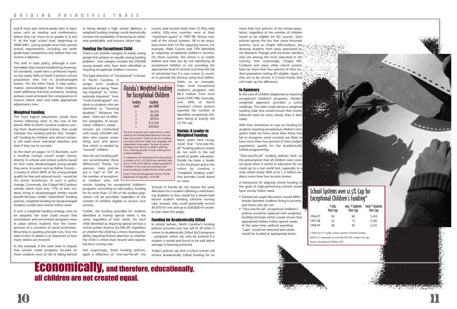10 11

and 8 must pass end-of-grade tests in basic areas such as reading and mathematics before they can move on to grades 4, 6 and 9. At the high school level, beginning in 2000-2001, young people must have passed several requirements, including the tenth grade basic competency test, before they can receive a diploma.

This shift in state policy, although a commendable step toward establishing meaningful standards, could have a profound impact on the nearly 40% of North Carolina's school population who live in disadvantaged homes. On the other hand, if state policymakers acknowledged that these students need additional learning assistance, funding policies could anticipate the consequences of massive failure rates and make appropriate adjustments now.

### Weighted Funding

The most logical adjustment would have money following need. In the case of the almost 40% of North Carolina students coming from disadvantaged homes, that could translate into funding policies that "weighted" funding for children who almost certainly will need more individual attention and time if they are to succeed.

As the chart on pages 12-13 illustrates, such a funding change would target money directly to schools and school systems based on how many disadvantaged young people they serve. A system such as Halifax County – a county in which 84% of the young people qualify for free and reduced lunch – would be the prime beneficiary of such a policy change. Conversely, the Chapel Hill-Carrboro schools which have only 17% of their students living in disadvantaged homes would benefit the least. Unlike "need blind" funding policies, weighted funding for disadvantaged students would have money follow need.

If such a weighted funding strategy were to be adopted, the state could ensure that remediation and enrichment programs were in place before students face the consequences of a cessation of social promotion. Returning to guiding principle two, how the state invests its dollars is as important as how many dollars are invested.

In this example, if the state were to require that schools create programs focused on those students most at risk of falling behind

or being denied a high school diploma, a weighted funding strategy could dramatically increase the probability of lessening an otherwise predictable, and massive, failure rate.

### Funding the Exceptional Child

There is yet another category of needy young people that present an equally vexing funding problem – that category includes the 249,828 young people who have been identified as requiring exceptional children's services.

The legal definition of "exceptional" is broad.

In North Carolina, it

ranges from students identified as being "hearing impaired" to "orthopedically impaired," from "multi-handicapped" students to students who are identified as "learning disabled." Whatever the label – there are 16 different categories of exceptional children's needs – schools are confronted with nearly 250,000 children who require something over and above that which is needed by "normal" children.

Florida's Weighted Funding for Exceptional Children

> per Child \$4,070 2 \$6,288 3 \$9,976 \$12,446 5 \$20,820

How do our funding policies accommodate those differences? Poorly. For openers, state policies put a "cap" or "lid" on the number of exceptional children who will

receive funding for exceptional children's programs. According to state policy, funding for no more than 12.5% of the student population will be provided, regardless of the number of children eligible to receive such services.

Further, the funding provided for students identified as having special needs is the same, regardless of their needs. For each child identified as requiring special services a school system receives \$2,346.29, regardless of whether the child has a minor learning disability requiring limited attention or whether full-time nursing care.

Not surprisingly, those funding policies, again a reflection of "one-size-fits-all" (no

### county shall exceed more than 12.5%), defy reality. Fifty-nine counties were at their "maximum quota" in 1997-98. Almost onehalf of the school systems, 58 to be exact, have more than 12.5% requiring service. For example, Wake County had 13% identified as requiring exceptional children's services. For those counties, the choice is to violate federal and state law by not identifying all exceptional children or not providing the appropriate level of services (running the risk of substantial loss if a case comes to court), or to provide the services using local dollars.

Wake, as an example, helps fund exceptional children's programs with \$8.2 million from local funds (1997-98). Ironically, over 50% of North Carolina's school systems reported the number of identified exceptional children being at exactly the 12.5% cap.

# the child is wheel-chair bound and requires average in learning potential.

### Florida: A Leader in Weighted Funding

Many states have recognized that "one-size-fitsall" funding policies simply do not work in the real world of public education. Florida has been a leader in the Southeast and in the nation by creating a "weighted funding scale" that provides funds based on need.

Schools in Florida do not receive the same allocation for a student suffering a mild learning disability as they would for a wheel-chair bound student needing full-time nursing care; instead, they could potentially receive \$4,070 for one and up to \$20,820 for another (see chart this page).

### Funding for Academically Gifted

In similar fashion, North Carolina's funding policies presume one size will fit all when it comes to Academically Gifted (AG) programs – programs which can only be entered if a student is tested and found to be well above

Today's policies say that a school system will receive Academically Gifted funding for no

Funding Funding

The level of services each child receives is determined by the Individualized Education Plan and takes into account a matrix of services including curriculum, behavior, health care, language, and independent living needs. The level of services will range from services to children suffering from a learning disorder to those suffering from

multiple disabilities.

In comparison, the funding level for all exceptional children in NC is \$2,346.29 per identified child (up to 12.5% of the district's student population) in addition to the usual and customary state funds provided per student for the school system. Source: Financial Management Section, Florida Department of Education, 10/16/98

Economically, and therefore, educationally, all children are not created equal.

more than four percent of the school population, regardless of the number of children found to be eligible for AG courses. Such policies ignore the fact that some fortunate systems, such as Chapel Hill-Carrboro, are drawing students from areas populated by the Research Triangle and university families who are among the most educated in the country. Not surprisingly, Chapel Hill-Carrboro and many other school systems have far more than four percent of their student population testing AG eligible. Again, if they are to be served, it is local money that will make up the difference.

### In Summary

In the case of children diagnosed as requiring exceptional children's programs, Florida's weighted approach provides a useful roadmap. The state could devise a weighted funding scale that would ensure that money followed need far more closely than it does today.

With that, limitations or caps on funding for students requiring exceptional children's programs make no more sense than those that fail to recognize some counties are likely to have more than four percent of their student population qualify for the Academically Gifted programming.

"One-size-fits-all" funding policies built on the presumption that all children were created equal when it comes to education do not stand up to a real world test, especially in a state where nearly 40% of its 1.2 million students come from low income homes.

A framework for aligning school funding to the goals of high-performing schools would have money follow need.

- General per pupil allocations would differentiate between students living in poverty and those who do not.
- "One-size-fits-all" exceptional children's policies would be replaced with weighted funding formulas which would ensure that appropriate dollars follow special needs. At the same time, artificial spending "caps" would be removed and needs would be funded at appropriate levels.

| Exceptional Children's Funding* |                    |                             |                              |  |  |  |
|---------------------------------|--------------------|-----------------------------|------------------------------|--|--|--|
|                                 | # LEAs<br>Over Cap | Avg. # Students<br>Over Cap | Total # Students<br>Over Cap |  |  |  |
| 1996-97                         | 50                 | 69                          | 3,453                        |  |  |  |
| 1997-98                         | 52                 | 73                          | 3,783                        |  |  |  |
| 1998-99                         | 58                 | 90                          | 5.231                        |  |  |  |

• There are 117 public school systems in North Carolina. NOTE: It is important to note that NO LEA is below the cap.

Source: Exceptional Children, DPI

# School Systems over 12.5% Cap for Exceptional Children's Funding\*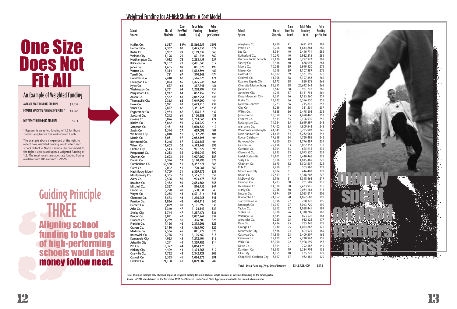**FREE**<br> **Aligning**<br> **funding**<br> **of high-p**<br> **schools**<br> **money for the school of high-particle** Guiding Principle THREE Aligning school funding to the goals of high-performing schools would have money follow need.

13



An Example of Weighted Funding AVERAGE STATE FUNDING PER PUPIL \$3,554 POSSIBLE WEIGHTED FUNDING PER PUPIL \* \$4,265 DIFFERENCE IN FUNDING PER PUPIL \$711

# The Control of Weighted Funding<br>
MESS MONTH (Weighted Funding<br>
MESS MONTH (Weighted Funding<br>
MESS MONTH (Weighted Funding<br>
MESS MONTH (Weighted Funding<br>
MESS MONTH (Weighted Funding<br>
MESS MONTH (Weighted Funding<br>
MESS MONT **One Size<br>Does Not** Fit All

|                 | <b>School</b><br>System              | No. of<br><b>Students</b> | $7.$ on<br>Free/Red.<br>Lunch | <b>Total Extra</b><br><b>Funding</b><br>(1.2) | Extra<br><b>Funding</b><br>per Student | School<br>System                       | No. of<br><b>Students</b> | $%$ on<br>Free/Red.<br>Lunch | <b>Total Extra</b><br><b>Funding</b><br>(1.2) | Extra<br><b>Funding</b><br>per Student |
|-----------------|--------------------------------------|---------------------------|-------------------------------|-----------------------------------------------|----------------------------------------|----------------------------------------|---------------------------|------------------------------|-----------------------------------------------|----------------------------------------|
|                 | Halifax Co.                          | 6,517                     | 84%                           | \$3,866,259                                   | \$593                                  | Alleghany Co.                          | 1,460                     | 41                           | \$421,528                                     | 289                                    |
|                 | Hertford Co.                         | 4,332                     | 80                            | 2,475,856                                     | 572                                    | Person Co.                             | 5,766                     | 40                           | 1,644,884                                     | 285                                    |
|                 | Bertie Co.                           | 3,907                     | 79                            | 2,199,339                                     | 563                                    | Lee Co.                                | 8,584                     | 40                           | 2,446,711                                     | 285                                    |
|                 | <b>Weldon City</b>                   | 1,196                     | 79                            | 671,744                                       | 562                                    | Rutherford Co.                         | 10,295                    | 40                           | 2,932,215                                     | 285                                    |
|                 | Northampton Co.                      | 4,012                     | 78                            | 2,233,459                                     | 557                                    | Durham Public Schools                  | 29,136                    | 40                           | 8,227,973                                     | 282                                    |
|                 | Robeson Co.                          | 24,137                    | 73                            | 12,481,640                                    | 517                                    | Yancey Co.                             | 2,446                     | 40                           | 688,093                                       | 281                                    |
|                 | Jones Co.                            | 1,635                     | 69                            | 801,828                                       | 490                                    | Moore Co.                              | 10,588                    | 39                           | 2,919,420                                     | 276                                    |
|                 | Warren Co.                           | 3,314                     | 69                            | 1,612,896                                     | 487                                    | Macon Co.<br>Guilford Co.              | 4,018                     | 39<br>39                     | 1,107,489                                     | 276<br>276                             |
|                 | Tyrrell Co.                          | 781                       | 67                            | 370,348                                       | 474                                    | Caldwell Co.                           | 60,002<br>11,908          | 38                           | 16,531,295<br>3,197,358                       | 269                                    |
|                 | Columbus Co.                         | 7,418<br>3,074            | 67<br>65                      | 3,516,525<br>1,425,945                        | 474<br>464                             | Roanoke Rapids City                    | 3,172                     | 38                           | 850,875                                       | 268                                    |
|                 | Lexington Co.<br>Hyde Co.            | 697                       | 64                            | 317,745                                       | 456                                    | Charlotte-Mecklenburg                  | 95,651                    | 38                           | 25,642,842                                    | 268                                    |
|                 | Washington Co.                       | 2,731                     | 64                            | 1,238,994                                     | 454                                    | Jackson Co.                            | 3,647                     | 38                           | 971,718                                       | 266                                    |
|                 | Perquimans Co.                       | 1,947                     | 64                            | 882,152                                       | 453                                    | Asheboro City                          | 4,215                     | 37                           | 1,111,754                                     | 264                                    |
|                 | Anson Co.                            | 4,562                     | 63                            | 2,042,954                                     | 448                                    | Kings Mountain City                    | 4,351                     | 36                           | 1,125,260                                     | 259                                    |
|                 | Thomasville City                     | 2,365                     | 62                            | 1,049,200                                     | 444                                    | Burke Co.                              | 13,922                    | 36                           | 3,596,850                                     | 258                                    |
|                 | Hoke Co.                             | 5,971                     | 62                            | 2,623,710                                     | 439                                    | Newton-Conover                         | 2,773                     | 36                           | 715,816                                       | 258                                    |
|                 | Vance Co.                            | 7,877                     | 62                            | 3,451,128                                     | 438                                    | Clay Co.                               | 1,289                     | 36                           | 331,251                                       | 257                                    |
|                 | Edgecombe Co.                        | 7,954                     | 62                            | 3,476,718                                     | 437                                    | Wilkes Co.                             | 9,888                     | 36                           | 2,498,603                                     | 253                                    |
|                 | Scotland Co.                         | 7,242                     | 61                            | 3,120,588                                     | 431                                    | Johnston Co.                           | 18,350                    | 35                           | 4,620,460                                     | 252                                    |
|                 | Greene Co.                           | 3,026                     | 60                            | 1,283,066                                     | 424                                    | Carteret Co.                           | 8,433                     | 35                           | 2,106,930                                     | 250                                    |
|                 | Bladen Co.                           | 5,842                     | 59                            | 2,428,229                                     | 416                                    | Rockingham Co.<br>Alamance Co.         | 14,584<br>19,402          | 35<br>35                     | 3,619,597<br>4,809,543                        | 248<br>248                             |
|                 | Sampson Co.<br>Swain Co.             | 7,481<br>1,544            | 58<br>57                      | 3,070,829<br>629,093                          | 410<br>407                             | Winston-Salem/Forsyth                  | 41,945                    | 35                           | 10,275,903                                    | 245                                    |
|                 | Whiteville City                      | 2,840                     | 57                            | 1,147,296                                     | 404                                    | New Hanover Co.                        | 21,619                    | 34                           | 5,282,963                                     | 244                                    |
|                 | Martin Co.                           | 5,081                     | 57                            | 2,052,195                                     | 404                                    | Rowan-Salisbury                        | 19,659                    | 34                           | 4,760,495                                     | 242                                    |
|                 | Richmond Co.                         | 8,246                     | 57                            | 3,328,153                                     | 404                                    | Haywood Co.                            | 7,600                     | 33                           | 1,776,389                                     | 234                                    |
|                 | Wilson Co.                           | 11,603                    | 56                            | 4,593,448                                     | 396                                    | Gaston Co.                             | 29,496                    | 33                           | 6,882,353                                     | 233                                    |
|                 | <b>Clinton City</b>                  | 2,513                     | 56                            | 991,622                                       | 395                                    | Currituck Co.                          | 3,004                     | 33                           | 695,912                                       | 232                                    |
|                 | Pasquotank Co.                       | 6,213                     | 55                            | 2,436,049                                     | 392                                    | Cleveland Co.                          | 8,963                     | 33                           | 2,073,520                                     | 231                                    |
|                 | Chowan Co.                           | 2,603                     | 54                            | 1,007,260                                     | 387                                    | Iredell-Statesville                    | 15,101                    | 32                           | 3,440,466                                     | 228                                    |
|                 | Duplin Co.                           | 8,396                     | 53                            | 3,180,298                                     | 379                                    | Surry Co.                              | 8,016                     | 32                           | 1,815,485                                     | 226                                    |
|                 | Cumberland Co.                       | 50,530                    | 51                            | 18,457,671                                    | 365                                    | Chatham Co.<br>Polk Co.                | 6,695<br>2,260            | 32<br>31                     | 1,505,559<br>503,986                          | 225<br>223                             |
|                 | Gates Co.<br>Nash-Rocky Mount        | 2,002<br>17,709           | 51<br>51                      | 720,081<br>6,359,175                          | 360<br>359                             | Mount Airy City                        | 2,004                     | 31                           | 446,408                                       | 223                                    |
|                 | Montgomery Co.                       | 4,335                     | 51                            | 1,555,318                                     | 359                                    | Union Co.                              | 19,593                    | 31                           | 4,348,208                                     | 222                                    |
|                 | Avery Co.                            | 2,526                     | 50                            | 903,478                                       | 358                                    | McDowell Co.                           | 6,146                     | 31                           | 1,348,463                                     | 219                                    |
|                 | Beaufort Co.                         | 7,482                     | 50                            | 2,653,566                                     | 355                                    | Camden Co.                             | 1,213                     | 30                           | 261,589                                       | 216                                    |
|                 | Mitchell Co.                         | 2,357                     | 49                            | 816,755                                       | 347                                    | Henderson Co.                          | 11,310                    | 30                           | 2,433,916                                     | 215                                    |
|                 | Lenoir Co.                           | 10,290                    | 48                            | 3,530,031                                     | 343                                    | Stanly Co.                             | 9,788                     | $30\,$                       | 2,084,183                                     | 213                                    |
|                 | Wayne Co.                            | 19,255                    | 48                            | 6,571,716                                     | 341                                    | Lincoln Co.                            | 9,994                     | 29                           | 2,053,617                                     | 205                                    |
|                 | Cherokee Co.                         | 3,573                     | 48                            | 1,216,958                                     | 341                                    | Buncombe Co.                           | 24,862                    | 28                           | 4,897,688                                     | 197                                    |
|                 | Pamlico Co.                          | 1,836                     | 48                            | 624,118                                       | 340                                    | Transylvania Co.                       | 3,996                     | 27                           | 778,370                                       | 195                                    |
|                 | Harnett Co.                          | 15,079                    | 48                            | 5,101,699                                     | 338                                    | Randolph Co.<br>Yadkin Co.             | 16,097                    | 27                           | 3,063,720                                     | 190                                    |
|                 | Ashe Co.                             | 3,340                     | 47                            | 1,124,549                                     | 337                                    | Stokes Co.                             | 5,612<br>7,018            | 27<br>26                     | 1,058,441<br>1,310,789                        | 189<br>187                             |
|                 | <b>Shelby City</b><br>Pender Co.     | 3,744<br>6,091            | 47<br>47                      | 1,257,476<br>2,037,267                        | 336<br>334                             | Watauga Co.                            | 4,845                     | 26                           | 893,526                                       | 184                                    |
|                 | Graham Co.                           | 1,239                     | 46                            | 406,600                                       | 328                                    | Alexander Co.                          | 5,220                     | 25                           | 932,622                                       | 177                                    |
|                 | Franklin Co.                         | 7,126                     | 46                            | 2,315,206                                     | 325                                    | Dare Co.                               | 4,484                     | 25                           | 783,346                                       | 175                                    |
| <b>001</b>      | Craven Co.                           | 15,110                    | 45                            | 4,865,700                                     | 322                                    | Orange Co.                             | 6,040                     | 25                           | 1,054,887                                     | 175                                    |
|                 | Madison Co.                          | 2,536                     | 45                            | 811,779                                       | 320                                    | Mooresville City                       | 3,586                     | 24                           | 604,925                                       | 169                                    |
| <b>IG goals</b> | Brunswick Co.                        | 9,776                     | 45                            | 3,105,660                                     | 318                                    | Catawba Co.                            | 14,840                    | 23                           | 2,400,507                                     | 162                                    |
|                 | Kannapolis City                      | 4,025                     | 45                            | 1,272,404                                     | 316                                    | Cabarrus Co.                           | 17,119                    | 22                           | 2,718,963                                     | 159                                    |
| Drming          | <b>Asheville City</b>                | 4,241                     | 44                            | 1,329,982                                     | 314                                    | Wake Co.                               | 87,950                    | 22                           | 13,928,199                                    | 158                                    |
|                 | Pitt Co.                             | 19,372<br>4,409           | 44<br>44                      | 6,064,176                                     | 313<br>312                             | Davie Co.<br>Davidson Co.              | 5,304<br>18,343           | 21<br>19                     | 792,587<br>2,524,904                          | 149<br>138                             |
| <b>IId have</b> | <b>Hickory City</b><br>Granville Co. | 7,752                     | 43                            | 1,374,765<br>2,342,929                        | 302                                    | Elkin City                             | 1,055                     | 18                           | 135,770                                       | 129                                    |
|                 | Caswell Co.                          | 3,553                     | 41                            | 1,034,272                                     | 291                                    | Chapel Hill-Carrboro City              | 8,197                     | 17                           | 982,381                                       | 120                                    |
| w need.         | Onslow Co.                           | 21,108                    | 41                            | 6,099,007                                     | 289                                    |                                        |                           |                              |                                               |                                        |
|                 |                                      |                           |                               |                                               |                                        | Total Extra Funding/Avg. Extra/Student |                           |                              | \$342,928,409                                 | \$313                                  |

Note: This is an example only. The local impact of weighted funding for at-risk students would decrease or increase depending on the funding ratio. Source: NC DPI, data is based on the December 1997 Free/Reduced Lunch Count. Note: figures are rounded to the nearest whole number.

### Weighted Funding for At-Risk Students: A Cost Model

\* Represents weighted funding of 1.2 for those students eligible for free and reduced lunch.

The example above is expanded at the right to reflect how weighted funding would affect each school district in North Carolina.The cost model to the right is also based upon a weighted funding of 1.2. The most recent average state funding figures available from DPI are from 1996-97.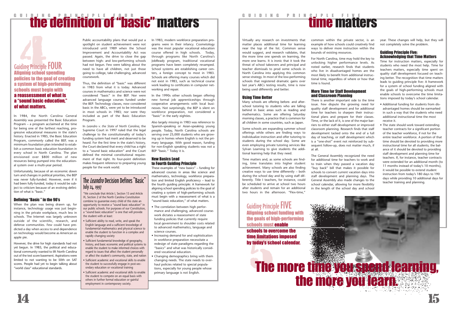# **the definition of "basic" matters**

Virtually any research on investments that matter places additional time for learning near the top of the list. Common sense would suggest, and research validates, that the more time one spends on learning, the more one learns. It is ironic that it took the threat of school takeovers and principal and teacher dismissals to prod some schools in North Carolina into applying this common sense strategy. In most of the low-performing schools that registered dramatic gains over last year's ABCs testing results, time is now being used differently and better.

### Using Time Better

Many schools are offering before- and afterschool tutoring to students who are falling behind in basic areas such as reading and mathematics. Some are offering Saturday morning classes, a practice that is common for all children in some countries, such as Japan.

Some schools are expanding summer school offerings while others are finding ways to individualize instruction and offer tutoring to students during the school day. Some are even employing private tutoring services like Sylvan Learning to give students the additional learning help that they need.

Time matters and, as some schools are finding, time translates into higher student achievement. Many schools are also finding creative ways to use time differently – both during the school day and by using staff differently. Title I teachers, for instance, could be scheduled to arrive at school two hours after students and remain for an additional two hours in the afternoon. "Flex-time,"

common within the private sector, is an example of how schools could creatively find ways to deliver more instruction within the

# bounds of existing resources.

For North Carolina, time may hold the key to unlocking higher performance levels. As noted earlier, research finds that students who live in disadvantaged homes are the most likely to benefit from additional instructional time, regardless of where or how that time is found.

### More Time for Staff Development and Classroom Planning



There is another important side to the time issue. Few dispute the growing need for quality staff development and for additional time for teachers to sharpen their instructional plans and prepare for their classes. Time, or the lack of it, is one of the major barriers to either staff development or improved classroom planning. Research finds that staff development tacked onto the end of a full day of teaching, or staff development which is a "one-shot" event not reinforced by subsequent follow-up, does not matter much, if at all.

# GUIDING PRINCIPLE FIVE

The General Assembly recognized the need for additional time for teachers to work and to train when they passed a vacation day "buy back" bill that makes it possible for schools to convert current vacation days into staff development and planning days. The General Assembly also made changes to the school calendar, allowing for more flexibility in the length of the school day and school

the goals of high-performing schools must enable

time limitations imposed by today's school calendar. year. These changes will help, but they will not completely solve the problem.

Thus, the definition of "basic" was different in 1983 from what it is today. Advanced courses in mathematics and science were not considered "basic" in the BEP. Nor were advanced language courses funded under the BEP. Technology classes, now considered basic in the ABCs, were yet to be introduced in most schools in 1983; nor were they included as part of the Basic Education Program

### Guiding Principle Five: Acknowledging that Time Matters

Time for instruction matters, especially for students who need the most help. Time for teachers matters, especially time spent on quality staff development focused on teaching better. The recognition that time matters leads to guiding principle five: A framework for a system of school funding aligned with the goals of high-performing schools must enable schools to overcome the time limitations imposed by today's school calendar.

- Additional funding for students from disadvantaged homes should be earmarked in such a way that the students who need additional instructional time the most receive it.
- The state should work toward extending teacher contracts for a significant portion of the teacher workforce, if not for the entire teacher workforce. A portion of that time should be devoted to providing more instructional time for all students; the balance of it should be devoted to providing staff development and planning time for teachers. If, for instance, teacher contracts were extended for an additional month (to 11 months instead of today's 10 months), it would be possible to extend student instruction from today's 180 days to 190 days while providing 10 additional days for teacher training and planning.

### The *Leandro* Decision Defines "Basic" July 24, 1997

In 1984, the North Carolina General Assembly was presented the Basic Education Program – a program acclaimed at the time for being one of the farthest reaching, progressive educational measures in the state's history. Enacted in 1985, the Basic Education Program, commonly called the BEP, was a minimum foundation plan intended to establish a common basic education foundation in every school in North Carolina. The plan envisioned over \$800 million of new resources being pumped into the educational system over a multi-year period.

Unfortunately, because of an economic down turn and changes in political priorities, the BEP was never fully-funded. However, even if it had been fully-funded, today it would be subject to criticism because of an evolving definition of what is "basic."

### Defining "Basic " in the 90's

When the plan was being drawn up, for instance, technology usage was just beginning in the private workplace, much less in schools. The Internet was largely unknown outside of the scientific, research, and defense communities. Few could have predicted a day when access to and dependence on technology would become as American as apple pie.

However, the drive for high standards had not yet begun. In 1983, the political and educational community wanted to lift North Carolina out of the test score basement. Aspirations were limited to not wanting to be 50th on SAT scores. People had yet to begin talking about "world class" educational standards.

Public accountability plans that would put a spotlight on student achievement were not introduced until 1989 when the School Improvement and Accountability Act was passed. Again, the drive to close the gap between high- and low-performing schools had not begun. Few were talking about the need to have all children, not just those going to college, take challenging, advanced coursework.

In *Leandro v. the State of North Carolina*, the Supreme Court in 1997 ruled that the legal challenge to the constitutionality of today's funding system had merit and deserved to be heard. For the first time in the state's history, the Court declared that every child has a right to a "sound basic education" and the Court defined the minimal constitutional requirement of that right. Its four-point definition makes frequent reference to preparing young people for the work world.

In 1983, modern workforce preparation programs were in their infancy. Cosmetology was the most popular vocational education course offered in high schools. Today, through programs like North Carolina's JobReady program, traditional vocational programs have been completely revamped. School systems are establishing career centers, a foreign concept to most in 1983. Schools are offering many courses which did not exist in 1983, such as technical course work leading to certificates in computer networking and repair.

In the 1990s other schools began offering new formal job apprenticeships through cooperative arrangements with local businesses. Not surprisingly, the BEP is silent on workforce preparation, not considered a "basic" in the early eighties.

Also largely missing in 1983 was reference to Spanish-speaking or Asian-speaking young people. Today, North Carolina schools are serving over 25,000 students who are growing up in homes where English is not the primary language. With good reason, funding for non-English speaking students was not a BEP "basic." Today it is.

### New Basics Lead to Fourth Guiding Principle

These examples of "new basics" – funding for advanced courses in areas like science and mathematics, technology, workforce preparation and limited English proficiency – lead to the fourth guiding principle: A framework for aligning school spending policies to the goal of creating a system of high-performing schools must begin with a reassessment of what is a "sound basic education," of what matters.

- The correlation between high performance and challenging, advanced coursework dictates a reassessment of state funding policies that currently require local government to shoulder costs related to advanced mathematics, language and science courses.
- Increasing demand for and sophistication in workforce preparation necessitate a redesign of state paradigms regarding the "basics" and what was historically considered vocational education.
- Changing demographics bring with them changing needs. The state needs to overhaul policies related to special populations, especially for young people whose primary language is not English.

"We conclude that Article I, Section 15 and Article IX, Section 2 of the North Carolina Constitution combine to guarantee every child of this state an opportunity to receive a "sound basic education" in our public schools. For purposes of our Constitution, a "sound basic education" is one that will provide the student with at least:

- Sufficient ability to read, write, and speak the English language and a sufficient knowledge of fundamental mathematics and physical science to enable the student to function in a complex and rapidly changing society
- Sufficient fundamental knowledge of geography, history, and basic economic and political systems to enable the student to make informed choices with regard to issues that affect the student personally or affect the student's community, state, and nation
- Sufficient academic and vocational skills to enable the student to successfully engage in post-secondary education or vocational training
- Sufficient academic and vocational skills to enable the student to compete on an equal basis with others in further formal education or gainful employment in contemporary society.

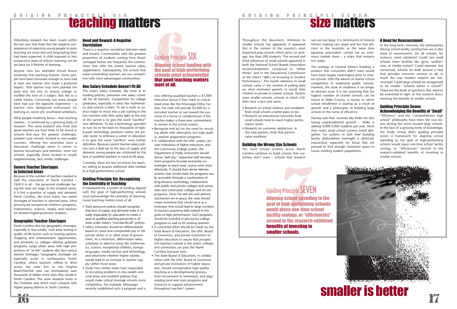# **GUIDING PRINCIPLE SIX**<br> **Teaching matters**

Throughout this document, reference to smaller schools has appeared. It appeared first in the context of the country's most respected prep schools which serve, on average, less than 200 students. The second and third references to small schools appeared in both the National School Boards Association recommendations contained in "What Works" and in the Educational Commission of the State's "ABCs of Investing in Student Performance." The fourth reference to small schools came in the context of polling data on what motivates parents to enroll their children in private or charter schools. Parents want smaller schools, schools in which children have a face and name.

- Research on school violence and vandalism finds small schools a better place to be.
- Research on educational outcomes finds small schools tend to reach higher performance levels.
- Research on customer satisfaction, in this case parents, finds that parents value smallness.

### Building the Wrong Size Schools

Yet, most school systems across North Carolina continue to build schools that customers don't want – schools that research says are too large. It is reminiscent of General Motors making cars larger and less fuel efficient in the seventies at the same time Japanese automakers carved out an enormous market share – a share that remains

lost today.

The analogy of General Motors building a product that consumers didn't want would have been largely meaningless prior to charter schools. With the advent of charter school competition to traditional public schools, however, the issue of smallness is no longer an abstract issue. It is not surprising that the highest number of charter schools can be found in Wake County, a county in which school enrollment is soaring as a result of growth and a philosophy of building large schools in the name of efficiency.



Having said that, counties like Wake are also facing unprecedented growth – Wake is adding 4,000-5,000 students per year, more than many small school systems enroll altogether. For systems to shift their building facility philosophies overnight is obviously impractical, especially for those that are pressed to find enough classroom space to house swelling student populations.

### A Need for Reassessment

In the long term, however, the philosophies driving school facility construction are in dire need of reassessment. Do all schools, for instance, need cafeterias? Could two small schools share facilities like gyms, auditoriums, or media centers? Could separate, but connected, schools be built around a hub that provides common services to all, in much the way modern airports are constructed? Could large schools be reorganized to be smaller "schools within a school?" These are the kinds of questions that need to be examined in light of the research documenting the benefits of smaller schools.

### Guiding Principle Seven: Acknowledging the Benefits of "Small"

### Need and Reward: A Negative **Correlation**

"Efficiency" and the "comprehensive high school" philosophy have been the two factors driving the move toward large schools. In the face of a growing body of knowledge, the Study Group offers guiding principle seven: A framework for aligning school spending to the goal of high-performing schools would place one-time school facility savings, or "efficiencies" second to the research-validated benefits of investing in smaller schools.

Disturbing research has been issued within<br>the last year that finds that the negative con-<br>sequences of exposing young people to poor<br>there is a negative correlation between need<br>teaching are more dire and long-lasting tha There is a negative correlation between need and reward. Communities with the greatest proportion of students coming from disadvantaged homes are frequently the communities that offer the lowest teacher salary supplements. Subsequently, the schools that need outstanding teachers are not competitive with more advantaged communities.

> Aligning school spending to the goal of high-performing schools would place one-time school facility savings, or "efficiencies" Principle SEVE<br>
> School spending<br>
> School spending<br>
> ace one-time sexting<br>
> avings, or "effice"<br>
> avings, or "effice" second to the research-validated benefits of investing in smaller schools.

# GUIDING PRINCIPLE SEVEN

# Guiding Principle SEVEN

the last year that finds that the negative consequences of exposing young people to poor teaching are more dire and long-lasting than had been expected. A child exposed to two consecutive years of inferior teaching can be set back for a lifetime of learning.

Anyone who has attended school knows intuitively that teaching matters. Some people have been fortunate enough to have had at least one teacher who made a profound impact. That teacher may have planted the seed that led one to attend college or instilled the love of a subject that led to a career choice. Conversely, too many people have had just the opposite experience – a teacher who dampened enthusiasm for learning or, worse yet, smothered ambitions.

What people intuitively know – that teaching matters – is reinforced by a growing body of research. The same research also finds that good teachers are least likely to be found in schools that face the greatest challenges. Isolated rural schools located in low-wealth counties, offering few amenities have a Herculean challenge when it comes to teacher recruitment and retention. Inner city schools, especially those located in unsafe neighborhoods, face similar challenges.

### Severe Teacher Shortages in Selected Areas

Because of the number of teachers needed to staff the classrooms of North Carolina – 76,815 in all – the personnel challenges facing the state are huge. In the simplest terms, it is first a question of supply and demand: North Carolina, like most states, has severe shortages of teachers in selected areas. Most pressing are exceptional children's programs, mathematics, science, media, and teachers for limited English-proficient students.

### Geographic Teacher Shortages

North Carolina also has geographic shortages, especially in low-wealth, rural areas lacking in quality of life factors such as housing options, shopping and entertainment opportunities, and proximity to colleges offering graduate programs. Large urban areas with high proportions of "at-risk" students also face serious teacher shortages. Geographic shortages are especially acute in northeastern North Carolina, where teachers willing to drive across the state line to the Virginia Beach/Norfolk area can immediately earn thousands of dollars more than they would in North Carolina. The same situation exists in the Charlotte area which must compete with higher paying districts in South Carolina.

### One Salary Schedule Doesn't Fit All

The state's salary schedule, like most of its funding policies, presumes one salary schedule fits all teachers. Competition for college graduates, especially in areas like mathematics and science is keen. To ask a math or science major to move into a job starting in the low twenties with little salary light at the end of the tunnel is to give the word "sacrifice" new definition. To ask a technology specialist to turn his or her back on thousands of highly-paid technology positions within the private sector to embrace a career in education is to give the word "sacrifice" even further definition. Because current teacher salary policies turn a deaf ear to the laws of supply and demand, young people are victimized by the lack of qualified teachers in hard-to-fill areas.

Currently, there are few incentives for teachers willing to acquire additional skills needed in a high-performance school.

### Guiding Principle Six: Recognizing the Centrality of Teaching

A framework for a system of funding aligned with the goal of high-performing schools must acknowledge the centrality of teaching. Good teaching matters most of all.

- State personnel policies should recognize that laws of supply and demand make it virtually impossible for education to create a pool of qualified teaching personnel in all
- areas under today's "one-size-fits-all" policies. • Salary schedules should be differentiated based on need and comparable pay in the private sector or in other areas of government. At a minimum, differentiate salary schedules in selective areas like mathematics, science, exceptional children, foreign languages, media services and technology, and determine whether higher salaries would lead to an increase in teacher supply within those areas.
- Study how similar states have responded to recruiting problems in low-wealth and rural areas and establish policies that would make critical shortage schools more competitive. For example, Mississippi recently established such a program and is

now offering qualified teachers a \$1,000 relocation bonus if they teach in critical need areas like the Mississippi Delta; further, the state will provide \$3,000 for a recruited teacher to use toward the purchase of a home or condominium if the teacher makes a three-year commitment to remain in the school system.

- Recognize and act on the need for recruiting adults with alternative, but high-quality, teacher preparation programs.
- In collaboration with the UNC system, private institutions of higher education, and the Community College system, the Department of Public Instruction should devise "skill sets," sequential staff development programs focused exclusively on strategies to teach basic course work more effectively. It should then devise delivery systems that would make the programs easily accessible through a combination of long-distance technology, collaboration with public and private colleges and universities and community colleges and on-site programs. Once the skill sets and delivery mechanism are in place, the state should create incentives that would serve as a motivator that would lead to large numbers of teachers acquiring skills related to the goals of high performance. Such programs should be included in pre-service college programs as well as for existing teachers.
- A concerted effort should be made by the State Board of Education, the UNC Board of Governors, and private institutions of higher education to assure that prospective teachers trained in the state's colleges and universities can pass the North Carolina licensure tests.
- The State Board of Education, in collaboration with the UNC Board of Governors and private institutions of higher education, should conceptualize high quality teaching as a developmental process, from recruitment to retirement, and align existing local and state programs and resources to support advancement throughout teachers' careers.

### Aligning school funding with the goal of high-performing schools must acknowledge that good teaching matters most of all. Guiding Principle SIX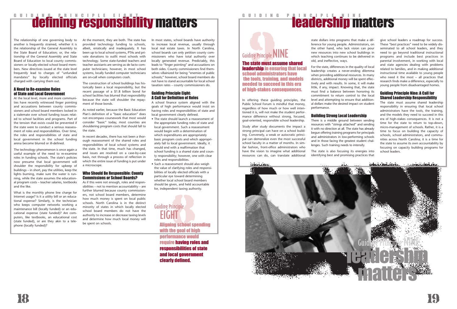# **defining responsibility matters**



In offering these guiding principles, the Public School Forum is mindful that money, regardless of how much or how well intentioned it is, will not make the student performance difference without strong, focused, goal-oriented, responsible school leadership.

Study after study documents the impact a strong principal can have on a school building. Conversely, a weak or autocratic principal can demoralize even the most successful school faculty in a matter of months. In similar fashion, front-office administrators who have the vision to imagine what additional resources can do, can translate additional

state dollars into programs that make a difference for young people. Administrators, on the other hand, who lack vision can pour new resources into new school buildings in which teaching continues to be delivered in

old, and ineffective, ways.

For the state, differences in the quality of local leadership creates a never-ending dilemma when providing additional resources. In many districts, additional money will be spent effectively and with results. In some, it will make little, if any, impact. Knowing that, the state must find a balance between honoring its commitment to return control to the local level and attempting to ensure that additional dollars make the desired impact on student performance.

### Building Strong Local Leadership

There is a middle ground between sending resources with "strings attached" and sending it with no direction at all. The state has already begun offering training programs for principals and administrators in low-performing schools and in those facing the greatest student challenges. Such training needs to intensify.

The state is also focusing its energies into identifying best and promising practices that

give school leaders a roadmap for success. These "best practices" need to be widely disseminated to all school leaders, and they need to go beyond traditional instructional programs and include best practices in parental involvement, in working with local and state agencies dealing with problems related to families, and in making additional instructional time available to young people who need it the most – all practices that research finds make a difference, especially to young people from disadvantaged homes.

### Guiding Principle Nine: A Call for Shared Leadership Responsibility

The state must assume shared leadership responsibility in ensuring that local school administrators have the tools, the training, and the models they need to succeed in this era of high-stakes consequences. It is not a time for the state to return to top-down, micro-management of schools. Rather, it is a time to focus on building the capacity of schools, school administrators, and communities across North Carolina; it is a time for the state to assume its own accountability by focusing on capacity building programs for school leaders.



The state must assume shared leadership in ensuring that local school administrators have the tools, training, and models needed to succeed in this era of high-stakes consequences.

The relationship of one governing body to another is frequently strained, whether it is the relationship of the General Assembly to the State Board of Education; or, the relationship of the General Assembly and State Board of Education to local county commissioners or locally-elected school board members. New directives issued at the state level frequently lead to charges of "unfunded mandates" by locally elected officials charged with carrying them out.

### A Need to Re-examine Roles of State and Local Government

At the local level, more and more communities have recently witnessed finger pointing and accusations between county commissioners and school board members locked in a stalemate over school funding issues related to school facilities and programs. Part of the tension that exists could be prevented if the state were to conduct a serious reassessment of roles and responsibilities. Over time, the roles and responsibilities of state and local government in the school funding arena become blurred or ill-defined.

> ding Principle<br>
> EIGHT<br>
> Aligning school spen<br>
> with the goal of high Aligning school spending performance would require having roles and responsibilities of state and local government clearly defined. EIGHT

# **Guiding Principle NINE**

The technology phenomenon is once again a useful example of the need to re-examine roles in funding schools. The state's policies now presume that local government will shoulder the responsibility for upkeep of buildings – in short, pay the utilities, keep the lights burning, make sure the water is running, while the state assumes the educational program costs – teacher salaries, textbooks and the like.

What is the monthly phone line charge for Internet usage? Is it a utility bill or an educational expense? Similarly, is the technician who keeps computer networks working a maintenance bill (locally funded) or an educational expense (state funded)? Are computers, like textbooks, an educational cost (state funded), or are they akin to a telephone (locally funded)?

At the moment, they are both. The state has provided technology funding to schools, albeit, erratically and inadequately. It has been up to local school systems, PTAs and private donations to outfit most schools with technology. Some state-funded teachers and teacher assistants are serving as de facto computer technicians; however, in most school systems, locally funded computer technicians are on-call when computers crash.

The construction of school buildings has historically been a local responsibility, but the recent passage of a \$1.8 billion bond for school facilities has blurred that responsibility because the state will shoulder the repayment of those bonds.

As noted earlier, because the Basic Education Plan's definition of a "basic education" does not encompass coursework that most would consider "basic" today, most counties are shouldering program costs that should fall to the state.

In recent decades, there has not been a thorough reassessment of the shared roles and responsibilities of local school systems and the state. In that time, much has changed, and issues are resolved on a case-by-case basis, not through a process of reflection in which the entire issue of funding is put under a microscope.

### Who Should Be Responsible: County Commissions or School Boards?

As if this were not enough, roles and responsibilities – not to mention accountability – are further blurred because county commissioners, not school board members, determine how much money is spent on local public schools. North Carolina is in the distinct minority of states in which locally elected school board members do not have the authority to increase or decrease taxing levels and determine how much local money will be spent on schools.

In most states, school boards have authority to increase local revenue, usually through local real estate taxes. In North Carolina, school boards can only petition county commissioners who have total authority over locally generated revenue. Predictably, this leads to "finger pointing" and accusations on both sides. County commissioners find themselves villainized for being "enemies of public schools;" however, school board members do not have to stand accountable for local school taxation rates – county commissioners do.

### Guiding Principle Eight: A Call for Definition of Roles

A school finance system aligned with the goals of high performance would insist on having roles and responsibilities of state and local government clearly defined.

- The state should launch a reassessment of the appropriate funding roles of state and local government. Such a reassessment would begin with a determination of which expenditures are appropriately basic program costs and which appropriately fall to local government. Ideally, it would end with a reaffirmation that school funding is a shared state and county responsibility; however, one with clear roles and responsibilities.
- Such a reassessment should also weigh the value of clarifying roles and responsibilities of locally elected officials with a particular eye toward determining whether local school board members should be given, and held accountable for, independent taxing authority.



Guiding Principle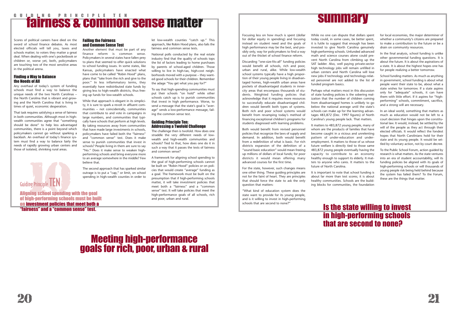# **fairness & common sense matter**

Focusing less on how much is spent (dollar for dollar equity in spending) and focusing instead on student need and the goals of high performance may be the best, and possibly only, way for policymakers to find a way out of the thicket of school finance reform.

Discarding "one-size-fits-all" funding policies would benefit all schools, rich and poor, urban and rural, alike. While low-wealth school systems typically have a high proportion of their young people living in disadvantaged homes, high-wealth urban areas have pockets of disadvantaged students in innercity areas that encompass thousands of students. Weighted funding policies that acknowledge that it requires more resources to successfully educate disadvantaged children would benefit both types of systems. Both rich and poor school systems would benefit from revamping today's method of financing exceptional children's programs for students diagnosed with learning problems.

Both would benefit from revised personnel policies that recognize the laws of supply and demand. In addition, both would benefit from a redefinition of what is basic. For rich districts expansion of the definition of a "sound basic education" would mean freeing up millions of dollars of local funds; for poor districts it would mean offering many advanced courses for the first time.

For the state, however, such changes means one other thing. These guiding principles are not for the faint of heart. They are principles that should force the state to ask the only question that matters:

"What kind of education system does the state want to provide for its young people, and is it willing to invest in high-performing schools that are second to none?"

While no one can dispute that dollars spent today could, in some cases, be better spent, it is futile to suggest that enough has been invested to give North Carolina genuinely high-performing schools. Unfunded advanced math and science courses alone could prevent North Carolina from climbing up the SAT ladder. Also, well paying private-sector high technology jobs will remain unfilled in urban centers and North Carolina will lose new jobs if technology and technology-related personnel are not added to the list of funded program basics.

Perhaps what matters most in this discussion of state funding policies is the sobering realization that the number of children coming from disadvantaged homes is unlikely to go below the national average until the state's schools can make up for the learning advantages 483,872 (Dec. 1997 figures) of North Carolina's young people lack. That matters.

It matters to 483,872 young people, many of whom are the products of families that have become caught in a vicious and unrelenting pattern of under-education and underemployment. It matters to those of us whose future welfare is directly tied to those same 483,872 young people eventually having the capacity to contribute to an economy healthy enough to support its elderly. It matters to anyone who cares. It matters to the future of North Carolina.

It is important to note that school funding is about far more than test scores; it is about healthy communities. Schools are the building blocks for communities, the foundation

for local economies, the major determiner of whether a community's citizens are prepared to make a contribution to the future or be a drain on community resources.

In the final analysis, school funding is unlike other governmental funding questions. It is about the future. It is about the aspirations of a state. It is about the highest hopes one has for people realizing a better tomorrow.

School funding matters. As much as anything in government, school funding is about what people want their state to be, about what a state wishes for tomorrow. If a state aspires only for "adequate" schools, it can have them with little effort. If it aspires for "highperforming" schools, commitment, sacrifice, and a strong will are necessary.

In an ideal world, something that matters as much as education would not be left to a court decision that hinges upon the constitutional law. It would, instead, be settled by the will of the people as they act through their elected officials. It would reflect the fondest hopes that North Carolinians hold for their state and its young people. It would be settled by voluntary action, not by court decree.

To the Public School Forum, action guided by research is what matters. As the state ventures into an era of student accountability, will its funding policies be aligned with its goals of high-performing schools or will thousands of young people risk being held behind because the system has failed them? To the Forum, these are the things that matter.



### Is the state willing to invest in high-performing schools that are second to none?

Scores of political careers have died on the sword of school finance debates. As most elected officials will tell you, taxes and schools matter; to voters they matter a great deal. When dealing with one's pocketbook or children or, worse yet, both, policymakers are touching two of the most sensitive areas in the political arena.

### Finding a Way to Balance the Needs of All

Any overhaul of today's system of funding schools must find a way to balance the unique needs of the two North Carolinas – the North Carolina that is vibrant and growing and the North Carolina that is living in times of quiet, economic desperation.

That task requires satisfying a sense of fairness in both communities. Although most in highwealth communities agree that "something should be done" to help less advantaged communities, there is a point beyond which policymakers cannot go without sparking a backlash. An overhaul of today's finance system must find a way to balance fairly the needs of rapidly growing urban centers and those of isolated, shrinking rural areas.

### Failing the Fairness and Common Sense Test

Another element that must be part of any finance reform is common sense. Policymakers in several states have fallen prey to plans that seemed to offer quick solutions to school funding issues. In some states, like Kansas, policymakers have enacted what have come to be called "Robin Hood" plans, plans that "take from the rich and give to the poor." In less inflammatory terms, they essentially have redistributed state funds by giving less to high-wealth districts, thus freeing up funds for low-wealth schools.

While that approach is elegant in its simplicity, it is sure to spark a revolt in affluent communities – not coincidentally, communities that contribute to and vote in campaigns in large numbers, and communities that typically have schools that perform at high levels. By taking resources away from communities that have made large investments in schools, policymakers have failed both the "fairness" and "common sense" test. Does it make sense to punish communities that invest in schools? People living in them are sure to say "No." Does it make sense to weaken highperforming schools and bring everyone more to an average somewhere in the middle? Few believe that.

The second approach that has sparked similar outrage is to put a "cap," or limit, on school spending in high-wealth counties in order to let low-wealth counties "catch up." This approach, like Robin Hood plans, also fails the fairness and common sense tests.

National polls conducted by the real estate industry find that the quality of schools tops the list of factors leading to home purchases by parents of school-aged children. Those willing to live in high-tax, high-cost neighborhoods moved with a purpose – they wanted good schools for their children. Remember the adage "You get what you pay for?"

To say that high-spending communities must put their schools "on hold" while other schools catch up is to punish communities that invest in high performance. Worse, to send a message that the state's goal is "average" sends a low-performance message, failing the common sense test.

### Guiding Principle Ten: Addressing a Twofold Challenge

The challenge then is twofold. How does one straddle the very different needs of lowwealth and high-wealth communities and schools? Tied to that, how does one do it in such a way that it passes the tests of fairness and common sense?

A framework for aligning school spending to the goal of high-performing schools cannot be built on "Robin Hood" policies or on policies that would create "average" funding as a goal. The framework must be built on the presumption that if high-performing schools matter, it will take investment policies that meet both a "fairness" and a "common sense" test. It will take policies that meet the high-performance goals of all schools, rich and poor, urban and rural.

## Meeting high-performance goals for rich, poor, urban & rural

Aligning school spending with the goal of high-performing schools must be built on investment policies that meet both a "fairness" and a "common sense" test.

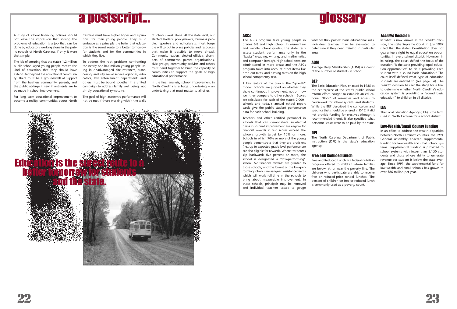### ABCs

The ABCs program tests young people in grades 3-8 and high school. In elementary and middle school grades, the state tests assess student performance only in the "basics" (reading, writing, and mathematics and computer literacy). High school tests are administered in more areas; and the ABCs program takes into account other items like drop-out rates, and passing rates on the high school competency test.

A key feature of the plan is the "growth" model. Schools are judged on whether they show continuous improvement, not on how well they compare to other schools. Scores are calculated for each of the state's 2,000+ schools and today's annual school report cards give the public student performance data for each school building.

Teachers and other certified personnel in schools that can demonstrate substantial gains in student improvement are eligible for financial awards if test scores exceed the school's growth target by 10% or more. Schools in which 90% or more of the young people demonstrate that they are proficient (i.e., up to expected grade level performance) are also eligible for rewards. Where test scores slip backwards five percent or more, the school is designated a "low-performing" school. No financial rewards are granted to those schools, and the lowest of the low-performing schools are assigned assistance teams which will work full-time in the schools to bring about measurable improvement. In those schools, principals may be removed and individual teachers tested to gauge

whether they possess basic educational skills. Individual teachers may be evaluated to determine if they need training in particular

areas.

### ADM

Average Daily Membership (ADM) is a count of the number of students in school.

### BEP

The Basic Education Plan, enacted in 1985 as the centerpiece of the state's public school reform effort, sought to establish an educational "floor" of resources and access to coursework for school systems and students. While the BEP described the curriculum and specifics that should be offered in K-12, it did not provide funding for electives (though it recommended them). It also specified what personnel costs were to be paid by the state.

### DPI

The North Carolina Department of Public Instruction (DPI) is the state's education

agency.

### Free and Reduced Lunch

Free and Reduced Lunch is a federal nutrition program offered to children whose families are below, at, or near the poverty line. The children who participate are able to receive free or reduced-price school lunches. The percent of children on free or reduced lunch is commonly used as a poverty count.

### Leandro Decision

Education is the surest better tomorrow for students and the state.

In what is now known as the *Leandro* decision, the state Supreme Court in July 1997 ruled that the state's Constitution does not guarantee a right to equal education opportunities in every school district. However, in its ruling, the court shifted the focus of the question "is the state providing equal education opportunities" to "is it providing each student with a sound basic education." The court itself defined what type of education students are entitled to (see page 14). The *Leandro* decision has set the stage for a trial to determine whether North Carolina's education system is providing a "sound basic education" to children in all districts.

### LEA

The Local Education Agency (LEA) is the term used in North Carolina for a school district.

### Low-Wealth/Small County Funding

In an effort to address the wealth disparities between North Carolina's counties, the 1991 General Assembly enacted supplemental funding for low-wealth and small school systems. Supplemental funding is provided to school systems with fewer than 3,150 students and those whose ability to generate revenue per student is below the state average. Since 1991, the supplemental fund for low-wealth and small schools has grown to over \$86 million per year.





A study of school financing policies should not leave the impression that solving the problems of education is a job that can be done by educators working alone in the public schools of North Carolina. If only it were that simple.

The job of ensuring that the state's 1.2 million public school-aged young people receive the kind of education that they should have extends far beyond the educational community. There must be a groundswell of support from the business community, parents, and the public at-large if new investments are to be made in school improvement.

For long term educational improvement to become a reality, communities across North

Carolina must have higher hopes and aspirations for their young people. They must embrace as a principle the belief that education is the surest route to a better tomorrow for students and for the communities in which they live.

To address the root problems confronting the nearly one-half million young people living in disadvantaged circumstances, state, county and city social service agencies, educators, law enforcement departments and others must be bound together in a united campaign to address family well being, not simply educational symptoms.

The goal of high academic performance will not be met if those working within the walls

of schools work alone. At the state level, our elected leaders, policymakers, business people, reporters and editorialists, must forge the will to put in place policies and resources that make it possible to move ahead. Community leaders, elected officials, chambers of commerce, parent organizations, civic groups, community activists and others must band together to build the capacity of communities to support the goals of high educational performance.

In the final analysis, school improvement in North Carolina is a huge undertaking – an undertaking that must matter to all of us.

# a postscript…